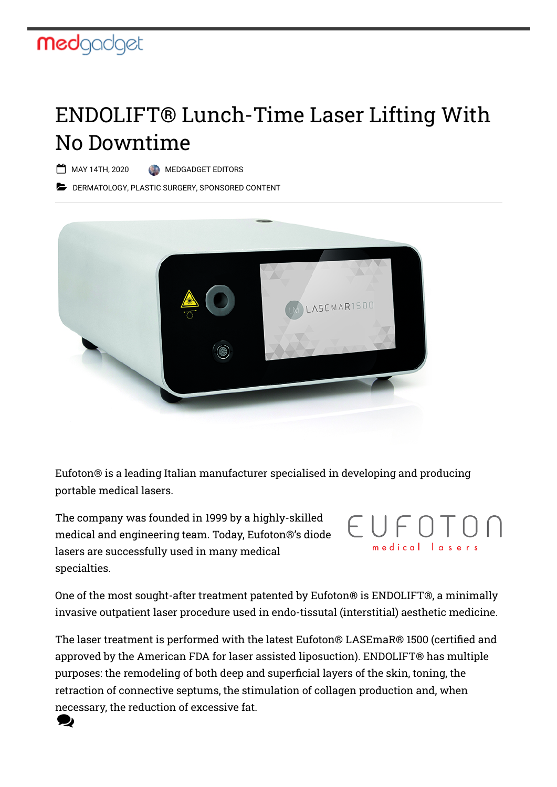## **med**gadget

## ENDOLIFT® Lunch-Time Laser Lifting With No Downtime

MAY 14TH, 2020 [MEDGADGET EDITORS](https://www.medgadget.com/author/mudil)

**[DERMATOLOGY](https://www.medgadget.com/archives/dermatology), [PLASTIC SURGERY,](https://www.medgadget.com/archives/plastic_surgery) [SPONSORED CONTENT](https://www.medgadget.com/archives/sponsored-content)** 



[Eufoton](https://www.eufoton.com/en/)® is a leading Italian manufacturer specialised in developing and producing portable medical lasers.

The company was founded in 1999 by a highly-skilled medical and engineering team. Today, Eufoton®'s diode lasers are successfully used in many medical specialties.



One of the most sought-after treatment patented by Eufoton® is [ENDOLIFT®](http://www.endolift.com/en/), a minimally invasive outpatient laser procedure used in endo-tissutal (interstitial) aesthetic medicine.

The laser treatment is performed with the latest [Eufoton® LASEmaR® 1500](https://www.eufoton.com/en/products/laser/lasemar-1500) (certified and approved by the American FDA for laser assisted liposuction). ENDOLIFT® has multiple purposes: the remodeling of both deep and superficial layers of the skin, toning, the retraction of connective septums, the stimulation of collagen production and, when necessary, the reduction of excessive fat. D)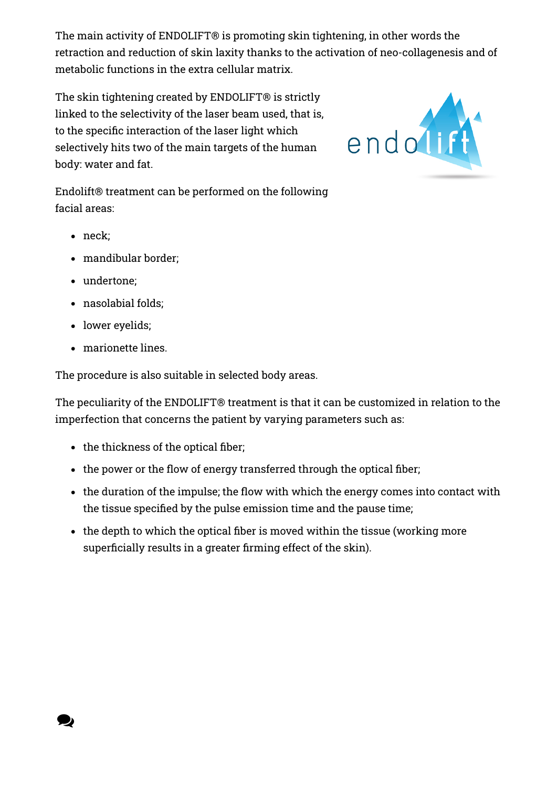The main activity of ENDOLIFT® is promoting skin tightening, in other words the retraction and reduction of skin laxity thanks to the activation of neo-collagenesis and of metabolic functions in the extra cellular matrix.

The skin tightening created by ENDOLIFT® is strictly linked to the selectivity of the laser beam used, that is, to the specific interaction of the laser light which selectively hits two of the main targets of the human body: water and fat.

Endolift® treatment can be performed on the following facial areas:

• neck;

Q

- mandibular border;
- undertone;
- nasolabial folds;
- lower eyelids;
- marionette lines.

The procedure is also suitable in selected body areas.

The peculiarity of the ENDOLIFT® treatment is that it can be customized in relation to the imperfection that concerns the patient by varying parameters such as:

- $\bullet$  the thickness of the optical fiber;
- $\bullet$  the power or the flow of energy transferred through the optical fiber;
- $\bullet$  the duration of the impulse; the flow with which the energy comes into contact with the tissue specified by the pulse emission time and the pause time;
- $\bullet$  the depth to which the optical fiber is moved within the tissue (working more superficially results in a greater firming effect of the skin).

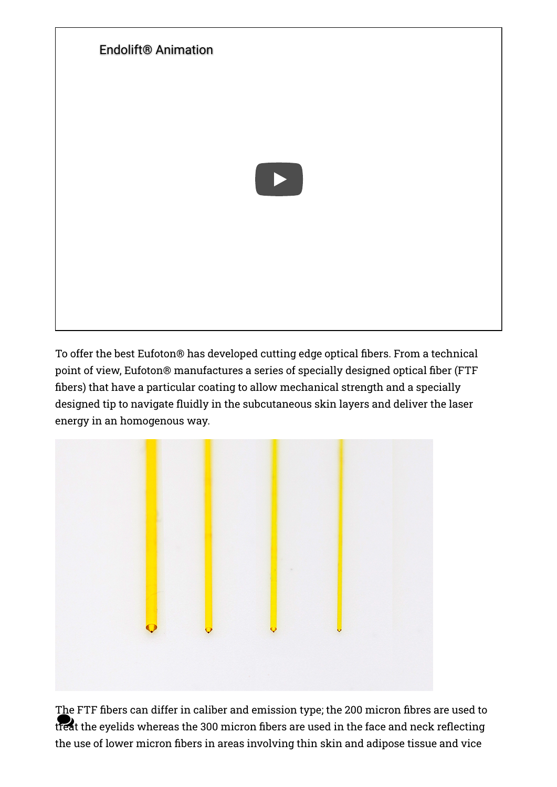

To offer the best Eufoton® has developed cutting edge optical fibers. From a technical point of view, Eufoton® manufactures a series of specially designed optical fiber (FTF bers) that have a particular coating to allow mechanical strength and a specially designed tip to navigate fluidly in the subcutaneous skin layers and deliver the laser energy in an homogenous way.



The FTF fibers can differ in caliber and emission type; the 200 micron fibres are used to the 1-11 morro can affect in camera and emission type, are 200 micron mores are used to<br>treat the eyelids whereas the 300 micron fibers are used in the face and neck reflecting the use of lower micron fibers in areas involving thin skin and adipose tissue and vice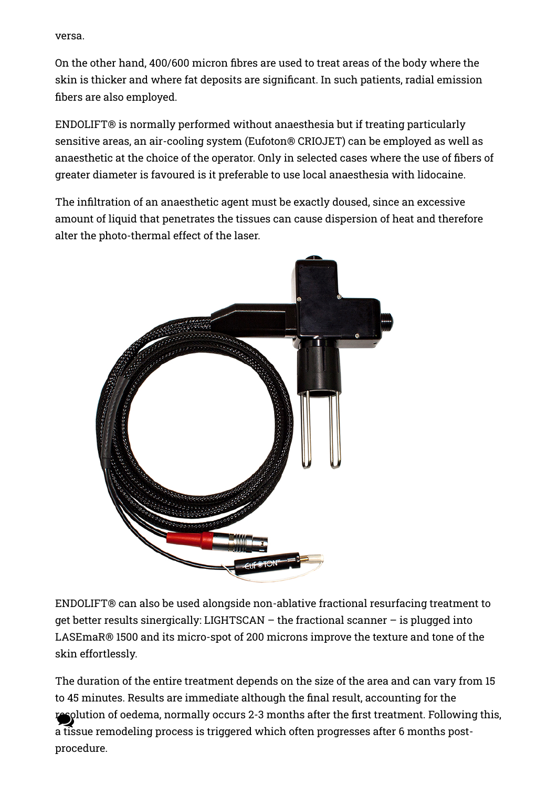versa.

On the other hand, 400/600 micron fibres are used to treat areas of the body where the skin is thicker and where fat deposits are significant. In such patients, radial emission bers are also employed.

ENDOLIFT® is normally performed without anaesthesia but if treating particularly sensitive areas, an air-cooling system [\(Eufoton® CRIOJET\)](https://www.eufoton.com/en/products/accessories/crio-jet) can be employed as well as anaesthetic at the choice of the operator. Only in selected cases where the use of fibers of greater diameter is favoured is it preferable to use local anaesthesia with lidocaine.

The infiltration of an anaesthetic agent must be exactly doused, since an excessive amount of liquid that penetrates the tissues can cause dispersion of heat and therefore alter the photo-thermal effect of the laser.



ENDOLIFT® can also be used alongside non-ablative fractional resurfacing treatment to get better results sinergically: [LIGHTSCAN](https://www.eufoton.com/en/products/accessories/lightscan) – the fractional scanner – is plugged into LASEmaR® 1500 and its micro-spot of 200 microns improve the texture and tone of the skin effortlessly.

The duration of the entire treatment depends on the size of the area and can vary from 15 to 45 minutes. Results are immediate although the final result, accounting for the resolution of oedema, normally occurs 2-3 months after the first treatment. Following this,  $\epsilon$ a tissue remodeling process is triggered which often progresses after 6 months postprocedure.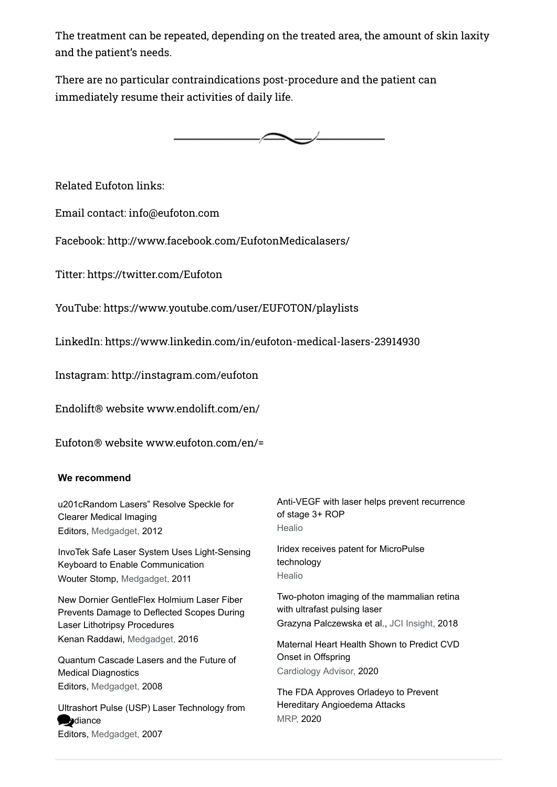The treatment can be repeated, depending on the treated area, the amount of skin laxity and the patient's needs.

There are no particular contraindications post-procedure and the patient can immediately resume their activities of daily life.



Related Eufoton links:

Email contact: [info@eufoton.com](mailto:info@eufoton.com)

Facebook: <http://www.facebook.com/EufotonMedicalasers/>

Titter: <https://twitter.com/Eufoton>

YouTube: <https://www.youtube.com/user/EUFOTON/playlists>

LinkedIn: [https://www.linkedin.com/in/eufoton-medical-lasers-23914930](https://www.linkedin.com/in/eufoton-medical-lasers-23914930?trk=hp-identity-photo)

Instagram:<http://instagram.com/eufoton>

Endolift® website [www.endolift.com/en/](http://www.endolift.com/en/)

Eufoton® website [www.eufoton.com/en/](http://www.eufoton.com/en/)=

## **We recommend**

| u201cRandom Lasers" Resolve Speckle for      | Anti-VEGF with laser helps prevent recurrence |
|----------------------------------------------|-----------------------------------------------|
| <b>Clearer Medical Imaging</b>               | of stage 3+ ROP                               |
| Editors, Medgadget, 2012                     | Healio                                        |
| InvoTek Safe Laser System Uses Light-Sensing | Iridex receives patent for MicroPulse         |
| Keyboard to Enable Communication             | technology                                    |
| Wouter Stomp, Medgadget, 2011                | Healio                                        |
| New Dornier GentleFlex Holmium Laser Fiber   | Two-photon imaging of the mammalian retina    |
| Prevents Damage to Deflected Scopes During   | with ultrafast pulsing laser                  |
| Laser Lithotripsy Procedures                 | Grazyna Palczewska et al., JCI Insight, 2018  |
| Kenan Raddawi, Medgadget, 2016               | Maternal Heart Health Shown to Predict CVD    |
| Quantum Cascade Lasers and the Future of     | Onset in Offspring                            |
| <b>Medical Diagnostics</b>                   | Cardiology Advisor, 2020                      |
| Editors, Medgadget, 2008                     | The FDA Approves Orladeyo to Prevent          |
| Ultrashort Pulse (USP) Laser Technology from | Hereditary Angioedema Attacks                 |
| Sydiance                                     | MRP, 2020                                     |
| Editors, Medgadget, 2007                     |                                               |